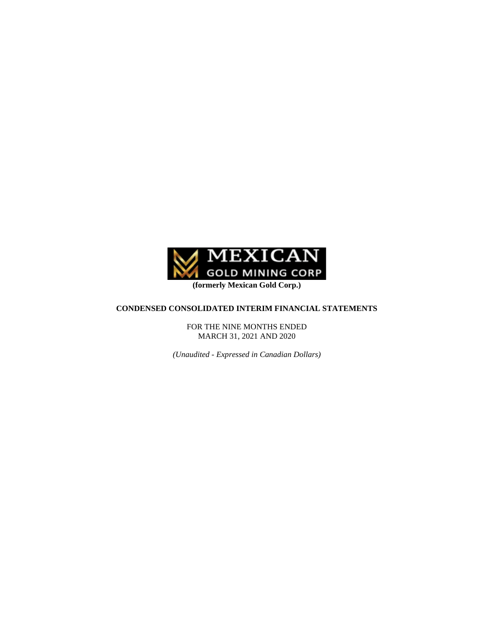

## **CONDENSED CONSOLIDATED INTERIM FINANCIAL STATEMENTS**

FOR THE NINE MONTHS ENDED MARCH 31, 2021 AND 2020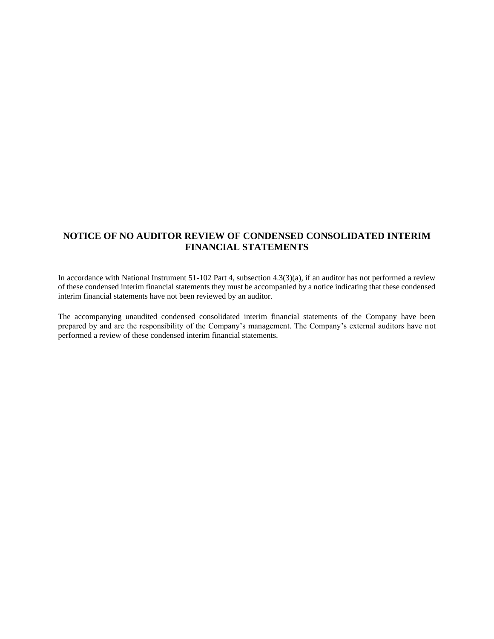## **NOTICE OF NO AUDITOR REVIEW OF CONDENSED CONSOLIDATED INTERIM FINANCIAL STATEMENTS**

In accordance with National Instrument 51-102 Part 4, subsection 4.3(3)(a), if an auditor has not performed a review of these condensed interim financial statements they must be accompanied by a notice indicating that these condensed interim financial statements have not been reviewed by an auditor.

The accompanying unaudited condensed consolidated interim financial statements of the Company have been prepared by and are the responsibility of the Company's management. The Company's external auditors have not performed a review of these condensed interim financial statements.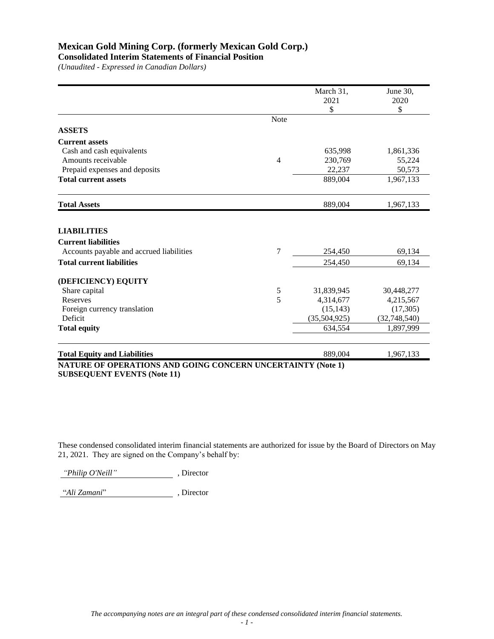## **Consolidated Interim Statements of Financial Position**

*(Unaudited - Expressed in Canadian Dollars)*

|                                                                                              |                | March 31,    | June 30,      |
|----------------------------------------------------------------------------------------------|----------------|--------------|---------------|
|                                                                                              |                | 2021         | 2020          |
|                                                                                              |                | \$           | $\mathsf{\$}$ |
|                                                                                              | <b>Note</b>    |              |               |
| <b>ASSETS</b>                                                                                |                |              |               |
| <b>Current assets</b>                                                                        |                |              |               |
| Cash and cash equivalents                                                                    |                | 635,998      | 1,861,336     |
| Amounts receivable                                                                           | $\overline{4}$ | 230,769      | 55,224        |
| Prepaid expenses and deposits                                                                |                | 22,237       | 50,573        |
| <b>Total current assets</b>                                                                  |                | 889,004      | 1,967,133     |
| <b>Total Assets</b>                                                                          |                | 889,004      | 1,967,133     |
| <b>LIABILITIES</b><br><b>Current liabilities</b><br>Accounts payable and accrued liabilities | 7              | 254,450      | 69,134        |
|                                                                                              |                |              |               |
| <b>Total current liabilities</b>                                                             |                | 254,450      | 69,134        |
| (DEFICIENCY) EQUITY                                                                          |                |              |               |
| Share capital                                                                                | 5              | 31,839,945   | 30,448,277    |
| <b>Reserves</b>                                                                              | 5              | 4,314,677    | 4,215,567     |
| Foreign currency translation                                                                 |                | (15, 143)    | (17, 305)     |
| Deficit                                                                                      |                | (35,504,925) | (32,748,540)  |
| <b>Total equity</b>                                                                          |                | 634,554      | 1,897,999     |
| <b>Total Equity and Liabilities</b>                                                          |                | 889,004      | 1,967,133     |
| <b>NATURE OF OPERATIONS AND GOING CONCERN UNCERTAINTY (Note 1)</b>                           |                |              |               |

**SUBSEQUENT EVENTS (Note 11)**

These condensed consolidated interim financial statements are authorized for issue by the Board of Directors on May 21, 2021. They are signed on the Company's behalf by:

*"Philip O'Neill"* , Director

"*Ali Zamani*" , Director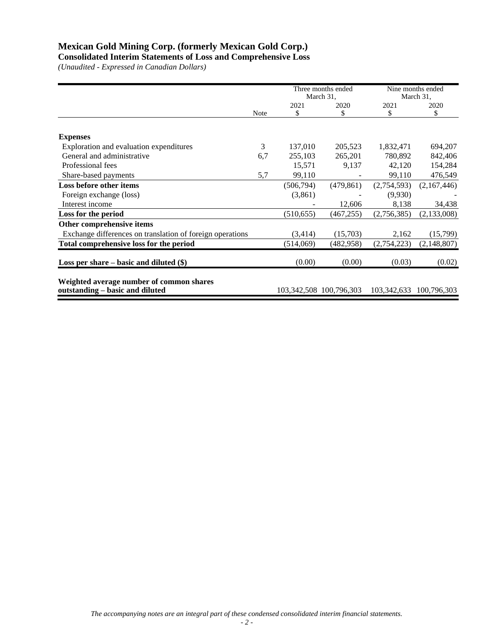**Consolidated Interim Statements of Loss and Comprehensive Loss**

|                                                           |      |            | Three months ended          |             | Nine months ended |
|-----------------------------------------------------------|------|------------|-----------------------------|-------------|-------------------|
|                                                           |      |            | March 31,                   |             | March 31,         |
|                                                           |      | 2021       | 2020                        | 2021        | 2020              |
|                                                           | Note | \$         | \$                          | \$          | \$                |
|                                                           |      |            |                             |             |                   |
| <b>Expenses</b>                                           |      |            |                             |             |                   |
| Exploration and evaluation expenditures                   | 3    | 137,010    | 205,523                     | 1,832,471   | 694,207           |
| General and administrative                                | 6,7  | 255,103    | 265,201                     | 780,892     | 842,406           |
| Professional fees                                         |      | 15,571     | 9,137                       | 42,120      | 154,284           |
| Share-based payments                                      | 5,7  | 99,110     |                             | 99,110      | 476,549           |
| Loss before other items                                   |      | (506, 794) | (479, 861)                  | (2,754,593) | (2,167,446)       |
| Foreign exchange (loss)                                   |      | (3,861)    |                             | (9,930)     |                   |
| Interest income                                           |      |            | 12,606                      | 8,138       | 34,438            |
| Loss for the period                                       |      | (510, 655) | (467, 255)                  | (2,756,385) | (2,133,008)       |
| Other comprehensive items                                 |      |            |                             |             |                   |
| Exchange differences on translation of foreign operations |      | (3,414)    | (15,703)                    | 2,162       | (15,799)          |
| Total comprehensive loss for the period                   |      | (514,069)  | (482, 958)                  | (2,754,223) | (2,148,807)       |
|                                                           |      |            |                             |             |                   |
| Loss per share $-$ basic and diluted $(\$)$               |      | (0.00)     | (0.00)                      | (0.03)      | (0.02)            |
|                                                           |      |            |                             |             |                   |
| Weighted average number of common shares                  |      |            |                             |             |                   |
| outstanding – basic and diluted                           |      |            | 103, 342, 508 100, 796, 303 | 103,342,633 | 100,796,303       |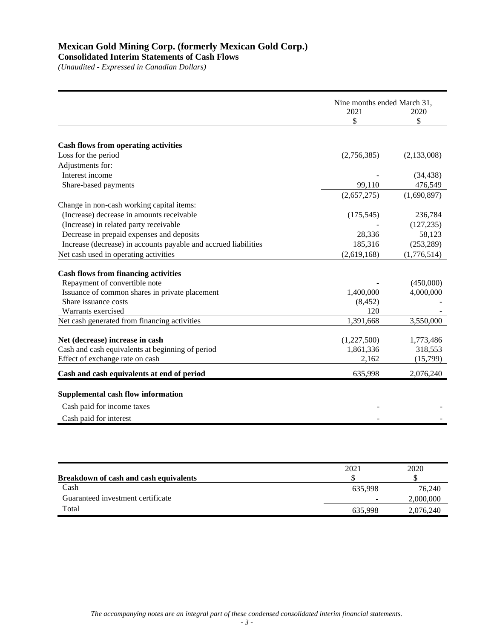## **Consolidated Interim Statements of Cash Flows**

| <b>Cash flows from operating activities</b><br>Loss for the period                  | 2021<br>\$<br>(2,756,385) | 2020<br>\$<br>(2,133,008) |
|-------------------------------------------------------------------------------------|---------------------------|---------------------------|
|                                                                                     |                           |                           |
|                                                                                     |                           |                           |
|                                                                                     |                           |                           |
|                                                                                     |                           |                           |
|                                                                                     |                           |                           |
| Adjustments for:                                                                    |                           |                           |
| Interest income                                                                     |                           | (34, 438)                 |
| Share-based payments                                                                | 99,110                    | 476,549                   |
|                                                                                     | (2,657,275)               | (1,690,897)               |
| Change in non-cash working capital items:                                           |                           |                           |
| (Increase) decrease in amounts receivable                                           | (175, 545)                | 236,784                   |
| (Increase) in related party receivable                                              |                           | (127, 235)                |
| Decrease in prepaid expenses and deposits                                           | 28,336                    | 58,123                    |
| Increase (decrease) in accounts payable and accrued liabilities                     | 185,316                   | (253, 289)                |
| Net cash used in operating activities                                               | (2,619,168)               | (1,776,514)               |
| <b>Cash flows from financing activities</b>                                         |                           |                           |
| Repayment of convertible note                                                       |                           | (450,000)                 |
| Issuance of common shares in private placement                                      | 1,400,000                 | 4,000,000                 |
| Share issuance costs                                                                | (8, 452)                  |                           |
| Warrants exercised                                                                  | 120                       |                           |
| Net cash generated from financing activities                                        | 1,391,668                 | 3,550,000                 |
|                                                                                     |                           |                           |
| Net (decrease) increase in cash<br>Cash and cash equivalents at beginning of period | (1,227,500)<br>1,861,336  | 1,773,486<br>318,553      |
| Effect of exchange rate on cash                                                     | 2,162                     | (15,799)                  |
|                                                                                     |                           |                           |
| Cash and cash equivalents at end of period                                          | 635,998                   | 2,076,240                 |
| <b>Supplemental cash flow information</b>                                           |                           |                           |
| Cash paid for income taxes                                                          |                           |                           |
| Cash paid for interest                                                              |                           |                           |
|                                                                                     |                           |                           |

| <b>Breakdown of cash and cash equivalents</b> | 2021    | 2020      |
|-----------------------------------------------|---------|-----------|
| Cash                                          | 635.998 | 76.240    |
| Guaranteed investment certificate             | -       | 2,000,000 |
| Total                                         | 635.998 | 2,076,240 |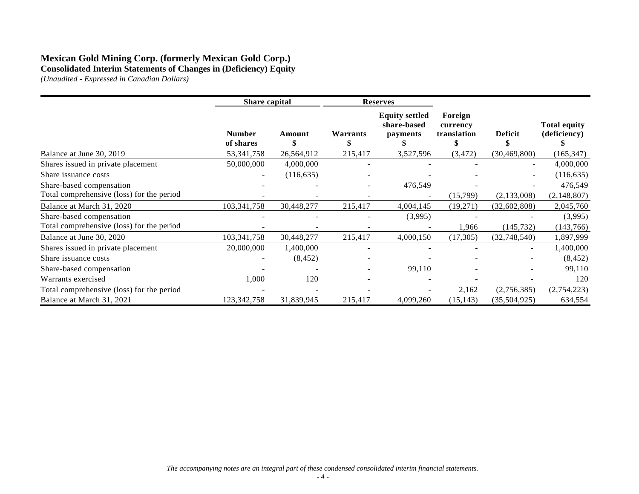## **Mexican Gold Mining Corp. (formerly Mexican Gold Corp.) Consolidated Interim Statements of Changes in (Deficiency) Equity**

|                                           | Share capital              |             |          | <b>Reserves</b>                                  |                                    |                |                                     |
|-------------------------------------------|----------------------------|-------------|----------|--------------------------------------------------|------------------------------------|----------------|-------------------------------------|
|                                           | <b>Number</b><br>of shares | Amount<br>S | Warrants | <b>Equity settled</b><br>share-based<br>payments | Foreign<br>currency<br>translation | <b>Deficit</b> | <b>Total equity</b><br>(deficiency) |
| Balance at June 30, 2019                  | 53, 341, 758               | 26,564,912  | 215,417  | 3,527,596                                        | (3, 472)                           | (30, 469, 800) | (165, 347)                          |
| Shares issued in private placement        | 50,000,000                 | 4,000,000   |          |                                                  |                                    |                | 4,000,000                           |
| Share issuance costs                      |                            | (116, 635)  |          |                                                  |                                    |                | (116, 635)                          |
| Share-based compensation                  |                            |             |          | 476,549                                          |                                    |                | 476,549                             |
| Total comprehensive (loss) for the period |                            |             |          |                                                  | (15, 799)                          | (2,133,008)    | (2, 148, 807)                       |
| Balance at March 31, 2020                 | 103, 341, 758              | 30,448,277  | 215,417  | 4,004,145                                        | (19,271)                           | (32,602,808)   | 2,045,760                           |
| Share-based compensation                  |                            |             |          | (3,995)                                          |                                    |                | (3,995)                             |
| Total comprehensive (loss) for the period |                            |             |          |                                                  | 1,966                              | (145, 732)     | (143,766)                           |
| Balance at June 30, 2020                  | 103, 341, 758              | 30,448,277  | 215,417  | 4,000,150                                        | (17, 305)                          | (32,748,540)   | 1,897,999                           |
| Shares issued in private placement        | 20,000,000                 | 1,400,000   |          |                                                  |                                    |                | 1,400,000                           |
| Share issuance costs                      |                            | (8, 452)    |          |                                                  |                                    |                | (8, 452)                            |
| Share-based compensation                  |                            |             |          | 99,110                                           |                                    |                | 99,110                              |
| Warrants exercised                        | 1,000                      | 120         |          |                                                  |                                    |                | 120                                 |
| Total comprehensive (loss) for the period |                            |             |          |                                                  | 2,162                              | (2,756,385)    | (2, 754, 223)                       |
| Balance at March 31, 2021                 | 123,342,758                | 31,839,945  | 215,417  | 4,099,260                                        | (15, 143)                          | (35,504,925)   | 634,554                             |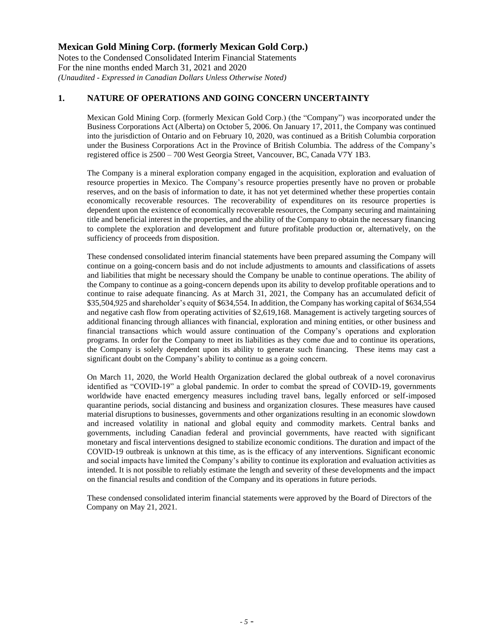Notes to the Condensed Consolidated Interim Financial Statements For the nine months ended March 31, 2021 and 2020 *(Unaudited - Expressed in Canadian Dollars Unless Otherwise Noted)*

### **1. NATURE OF OPERATIONS AND GOING CONCERN UNCERTAINTY**

Mexican Gold Mining Corp. (formerly Mexican Gold Corp.) (the "Company") was incorporated under the Business Corporations Act (Alberta) on October 5, 2006. On January 17, 2011, the Company was continued into the jurisdiction of Ontario and on February 10, 2020, was continued as a British Columbia corporation under the Business Corporations Act in the Province of British Columbia. The address of the Company's registered office is 2500 – 700 West Georgia Street, Vancouver, BC, Canada V7Y 1B3.

The Company is a mineral exploration company engaged in the acquisition, exploration and evaluation of resource properties in Mexico. The Company's resource properties presently have no proven or probable reserves, and on the basis of information to date, it has not yet determined whether these properties contain economically recoverable resources. The recoverability of expenditures on its resource properties is dependent upon the existence of economically recoverable resources, the Company securing and maintaining title and beneficial interest in the properties, and the ability of the Company to obtain the necessary financing to complete the exploration and development and future profitable production or, alternatively, on the sufficiency of proceeds from disposition.

These condensed consolidated interim financial statements have been prepared assuming the Company will continue on a going-concern basis and do not include adjustments to amounts and classifications of assets and liabilities that might be necessary should the Company be unable to continue operations. The ability of the Company to continue as a going-concern depends upon its ability to develop profitable operations and to continue to raise adequate financing. As at March 31, 2021, the Company has an accumulated deficit of \$35,504,925 and shareholder's equity of \$634,554. In addition, the Company has working capital of \$634,554 and negative cash flow from operating activities of \$2,619,168. Management is actively targeting sources of additional financing through alliances with financial, exploration and mining entities, or other business and financial transactions which would assure continuation of the Company's operations and exploration programs. In order for the Company to meet its liabilities as they come due and to continue its operations, the Company is solely dependent upon its ability to generate such financing. These items may cast a significant doubt on the Company's ability to continue as a going concern.

On March 11, 2020, the World Health Organization declared the global outbreak of a novel coronavirus identified as "COVID-19" a global pandemic. In order to combat the spread of COVID-19, governments worldwide have enacted emergency measures including travel bans, legally enforced or self-imposed quarantine periods, social distancing and business and organization closures. These measures have caused material disruptions to businesses, governments and other organizations resulting in an economic slowdown and increased volatility in national and global equity and commodity markets. Central banks and governments, including Canadian federal and provincial governments, have reacted with significant monetary and fiscal interventions designed to stabilize economic conditions. The duration and impact of the COVID-19 outbreak is unknown at this time, as is the efficacy of any interventions. Significant economic and social impacts have limited the Company's ability to continue its exploration and evaluation activities as intended. It is not possible to reliably estimate the length and severity of these developments and the impact on the financial results and condition of the Company and its operations in future periods.

These condensed consolidated interim financial statements were approved by the Board of Directors of the Company on May 21, 2021.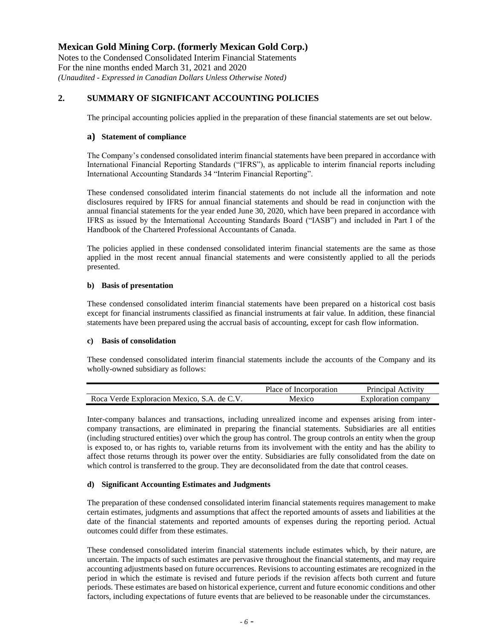Notes to the Condensed Consolidated Interim Financial Statements For the nine months ended March 31, 2021 and 2020 *(Unaudited - Expressed in Canadian Dollars Unless Otherwise Noted)*

### **2. SUMMARY OF SIGNIFICANT ACCOUNTING POLICIES**

The principal accounting policies applied in the preparation of these financial statements are set out below.

### **a) Statement of compliance**

The Company's condensed consolidated interim financial statements have been prepared in accordance with International Financial Reporting Standards ("IFRS"), as applicable to interim financial reports including International Accounting Standards 34 "Interim Financial Reporting".

These condensed consolidated interim financial statements do not include all the information and note disclosures required by IFRS for annual financial statements and should be read in conjunction with the annual financial statements for the year ended June 30, 2020, which have been prepared in accordance with IFRS as issued by the International Accounting Standards Board ("IASB") and included in Part I of the Handbook of the Chartered Professional Accountants of Canada.

The policies applied in these condensed consolidated interim financial statements are the same as those applied in the most recent annual financial statements and were consistently applied to all the periods presented.

### **b) Basis of presentation**

These condensed consolidated interim financial statements have been prepared on a historical cost basis except for financial instruments classified as financial instruments at fair value. In addition, these financial statements have been prepared using the accrual basis of accounting, except for cash flow information.

### **c) Basis of consolidation**

These condensed consolidated interim financial statements include the accounts of the Company and its wholly-owned subsidiary as follows:

|                                             | Place of Incorporation | Principal Activity  |
|---------------------------------------------|------------------------|---------------------|
| Roca Verde Exploracion Mexico, S.A. de C.V. | Mexico                 | Exploration company |

Inter-company balances and transactions, including unrealized income and expenses arising from intercompany transactions, are eliminated in preparing the financial statements. Subsidiaries are all entities (including structured entities) over which the group has control. The group controls an entity when the group is exposed to, or has rights to, variable returns from its involvement with the entity and has the ability to affect those returns through its power over the entity. Subsidiaries are fully consolidated from the date on which control is transferred to the group. They are deconsolidated from the date that control ceases.

### **d) Significant Accounting Estimates and Judgments**

The preparation of these condensed consolidated interim financial statements requires management to make certain estimates, judgments and assumptions that affect the reported amounts of assets and liabilities at the date of the financial statements and reported amounts of expenses during the reporting period. Actual outcomes could differ from these estimates.

These condensed consolidated interim financial statements include estimates which, by their nature, are uncertain. The impacts of such estimates are pervasive throughout the financial statements, and may require accounting adjustments based on future occurrences. Revisions to accounting estimates are recognized in the period in which the estimate is revised and future periods if the revision affects both current and future periods. These estimates are based on historical experience, current and future economic conditions and other factors, including expectations of future events that are believed to be reasonable under the circumstances.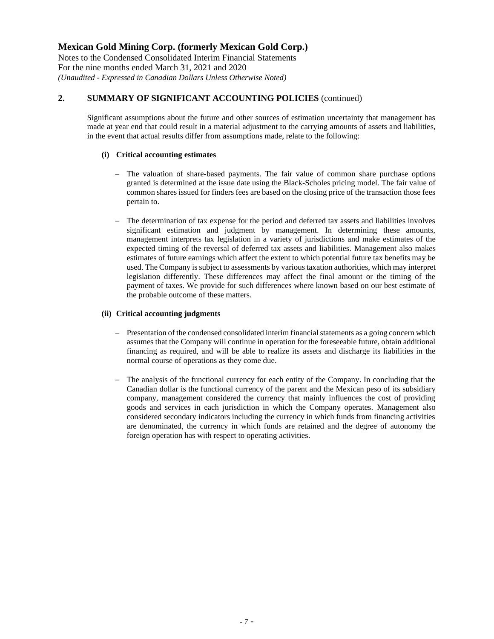Notes to the Condensed Consolidated Interim Financial Statements For the nine months ended March 31, 2021 and 2020 *(Unaudited - Expressed in Canadian Dollars Unless Otherwise Noted)*

## **2. SUMMARY OF SIGNIFICANT ACCOUNTING POLICIES** (continued)

Significant assumptions about the future and other sources of estimation uncertainty that management has made at year end that could result in a material adjustment to the carrying amounts of assets and liabilities, in the event that actual results differ from assumptions made, relate to the following:

#### **(i) Critical accounting estimates**

- − The valuation of share-based payments. The fair value of common share purchase options granted is determined at the issue date using the Black-Scholes pricing model. The fair value of common shares issued for finders fees are based on the closing price of the transaction those fees pertain to.
- The determination of tax expense for the period and deferred tax assets and liabilities involves significant estimation and judgment by management. In determining these amounts, management interprets tax legislation in a variety of jurisdictions and make estimates of the expected timing of the reversal of deferred tax assets and liabilities. Management also makes estimates of future earnings which affect the extent to which potential future tax benefits may be used. The Company issubject to assessments by various taxation authorities, which may interpret legislation differently. These differences may affect the final amount or the timing of the payment of taxes. We provide for such differences where known based on our best estimate of the probable outcome of these matters.

#### **(ii) Critical accounting judgments**

- Presentation of the condensed consolidated interim financial statements as a going concern which assumes that the Company will continue in operation for the foreseeable future, obtain additional financing as required, and will be able to realize its assets and discharge its liabilities in the normal course of operations as they come due.
- − The analysis of the functional currency for each entity of the Company. In concluding that the Canadian dollar is the functional currency of the parent and the Mexican peso of its subsidiary company, management considered the currency that mainly influences the cost of providing goods and services in each jurisdiction in which the Company operates. Management also considered secondary indicators including the currency in which funds from financing activities are denominated, the currency in which funds are retained and the degree of autonomy the foreign operation has with respect to operating activities.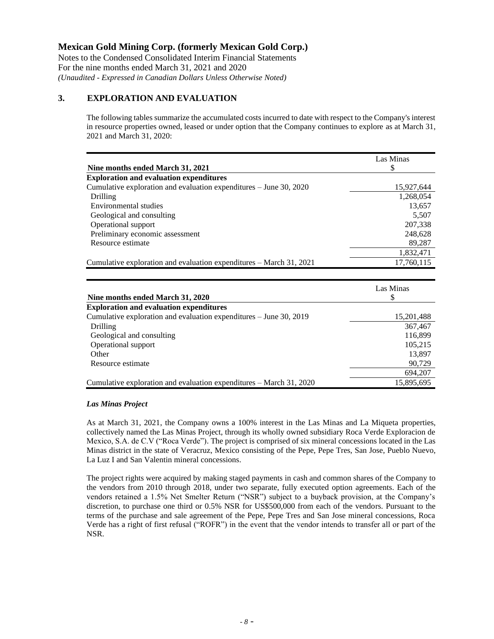Notes to the Condensed Consolidated Interim Financial Statements For the nine months ended March 31, 2021 and 2020 *(Unaudited - Expressed in Canadian Dollars Unless Otherwise Noted)*

## **3. EXPLORATION AND EVALUATION**

The following tables summarize the accumulated costs incurred to date with respect to the Company's interest in resource properties owned, leased or under option that the Company continues to explore as at March 31, 2021 and March 31, 2020:

|                                                                     | Las Minas  |
|---------------------------------------------------------------------|------------|
| Nine months ended March 31, 2021                                    | \$         |
| <b>Exploration and evaluation expenditures</b>                      |            |
| Cumulative exploration and evaluation expenditures – June 30, 2020  | 15,927,644 |
| Drilling                                                            | 1,268,054  |
| Environmental studies                                               | 13,657     |
| Geological and consulting                                           | 5,507      |
| Operational support                                                 | 207,338    |
| Preliminary economic assessment                                     | 248,628    |
| Resource estimate                                                   | 89,287     |
|                                                                     | 1,832,471  |
| Cumulative exploration and evaluation expenditures – March 31, 2021 | 17,760,115 |
|                                                                     |            |
|                                                                     | Las Minas  |
| Nine months ended March 31, 2020                                    | \$         |
| Frankonstant suid spolps than someon diterment                      |            |

| Nine months ended March 31, 2020                                    |            |
|---------------------------------------------------------------------|------------|
| <b>Exploration and evaluation expenditures</b>                      |            |
| Cumulative exploration and evaluation expenditures – June 30, 2019  | 15,201,488 |
| <b>Drilling</b>                                                     | 367,467    |
| Geological and consulting                                           | 116,899    |
| Operational support                                                 | 105,215    |
| Other                                                               | 13,897     |
| Resource estimate                                                   | 90,729     |
|                                                                     | 694,207    |
| Cumulative exploration and evaluation expenditures – March 31, 2020 | 15,895,695 |

### *Las Minas Project*

As at March 31, 2021, the Company owns a 100% interest in the Las Minas and La Miqueta properties, collectively named the Las Minas Project, through its wholly owned subsidiary Roca Verde Exploracion de Mexico, S.A. de C.V ("Roca Verde"). The project is comprised of six mineral concessions located in the Las Minas district in the state of Veracruz, Mexico consisting of the Pepe, Pepe Tres, San Jose, Pueblo Nuevo, La Luz I and San Valentin mineral concessions.

The project rights were acquired by making staged payments in cash and common shares of the Company to the vendors from 2010 through 2018, under two separate, fully executed option agreements. Each of the vendors retained a 1.5% Net Smelter Return ("NSR") subject to a buyback provision, at the Company's discretion, to purchase one third or 0.5% NSR for US\$500,000 from each of the vendors. Pursuant to the terms of the purchase and sale agreement of the Pepe, Pepe Tres and San Jose mineral concessions, Roca Verde has a right of first refusal ("ROFR") in the event that the vendor intends to transfer all or part of the NSR.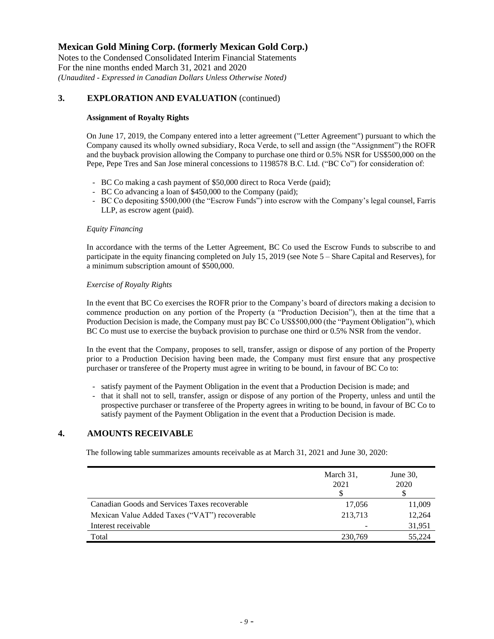Notes to the Condensed Consolidated Interim Financial Statements For the nine months ended March 31, 2021 and 2020 *(Unaudited - Expressed in Canadian Dollars Unless Otherwise Noted)*

### **3. EXPLORATION AND EVALUATION** (continued)

#### **Assignment of Royalty Rights**

On June 17, 2019, the Company entered into a letter agreement ("Letter Agreement") pursuant to which the Company caused its wholly owned subsidiary, Roca Verde, to sell and assign (the "Assignment") the ROFR and the buyback provision allowing the Company to purchase one third or 0.5% NSR for US\$500,000 on the Pepe, Pepe Tres and San Jose mineral concessions to 1198578 B.C. Ltd. ("BC Co") for consideration of:

- BC Co making a cash payment of \$50,000 direct to Roca Verde (paid);
- BC Co advancing a loan of \$450,000 to the Company (paid);
- BC Co depositing \$500,000 (the "Escrow Funds") into escrow with the Company's legal counsel, Farris LLP, as escrow agent (paid).

#### *Equity Financing*

In accordance with the terms of the Letter Agreement, BC Co used the Escrow Funds to subscribe to and participate in the equity financing completed on July 15, 2019 (see Note 5 – Share Capital and Reserves), for a minimum subscription amount of \$500,000.

#### *Exercise of Royalty Rights*

In the event that BC Co exercises the ROFR prior to the Company's board of directors making a decision to commence production on any portion of the Property (a "Production Decision"), then at the time that a Production Decision is made, the Company must pay BC Co US\$500,000 (the "Payment Obligation"), which BC Co must use to exercise the buyback provision to purchase one third or 0.5% NSR from the vendor.

In the event that the Company, proposes to sell, transfer, assign or dispose of any portion of the Property prior to a Production Decision having been made, the Company must first ensure that any prospective purchaser or transferee of the Property must agree in writing to be bound, in favour of BC Co to:

- satisfy payment of the Payment Obligation in the event that a Production Decision is made; and
- that it shall not to sell, transfer, assign or dispose of any portion of the Property, unless and until the prospective purchaser or transferee of the Property agrees in writing to be bound, in favour of BC Co to satisfy payment of the Payment Obligation in the event that a Production Decision is made.

### **4. AMOUNTS RECEIVABLE**

The following table summarizes amounts receivable as at March 31, 2021 and June 30, 2020:

|                                               | March 31,<br>2021 | June $30$ ,<br>2020 |
|-----------------------------------------------|-------------------|---------------------|
| Canadian Goods and Services Taxes recoverable | 17,056            | 11,009              |
| Mexican Value Added Taxes ("VAT") recoverable | 213,713           | 12,264              |
| Interest receivable                           |                   | 31,951              |
| Total                                         | 230.769           | 55,224              |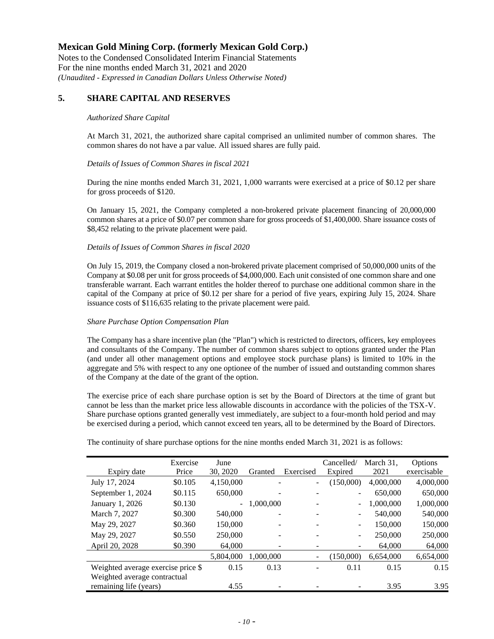Notes to the Condensed Consolidated Interim Financial Statements For the nine months ended March 31, 2021 and 2020 *(Unaudited - Expressed in Canadian Dollars Unless Otherwise Noted)*

## **5. SHARE CAPITAL AND RESERVES**

#### *Authorized Share Capital*

At March 31, 2021, the authorized share capital comprised an unlimited number of common shares. The common shares do not have a par value. All issued shares are fully paid.

#### *Details of Issues of Common Shares in fiscal 2021*

During the nine months ended March 31, 2021, 1,000 warrants were exercised at a price of \$0.12 per share for gross proceeds of \$120.

On January 15, 2021, the Company completed a non-brokered private placement financing of 20,000,000 common shares at a price of \$0.07 per common share for gross proceeds of \$1,400,000. Share issuance costs of \$8,452 relating to the private placement were paid.

#### *Details of Issues of Common Shares in fiscal 2020*

On July 15, 2019, the Company closed a non-brokered private placement comprised of 50,000,000 units of the Company at \$0.08 per unit for gross proceeds of \$4,000,000. Each unit consisted of one common share and one transferable warrant. Each warrant entitles the holder thereof to purchase one additional common share in the capital of the Company at price of \$0.12 per share for a period of five years, expiring July 15, 2024. Share issuance costs of \$116,635 relating to the private placement were paid.

#### *Share Purchase Option Compensation Plan*

The Company has a share incentive plan (the "Plan") which is restricted to directors, officers, key employees and consultants of the Company. The number of common shares subject to options granted under the Plan (and under all other management options and employee stock purchase plans) is limited to 10% in the aggregate and 5% with respect to any one optionee of the number of issued and outstanding common shares of the Company at the date of the grant of the option.

The exercise price of each share purchase option is set by the Board of Directors at the time of grant but cannot be less than the market price less allowable discounts in accordance with the policies of the TSX-V. Share purchase options granted generally vest immediately, are subject to a four-month hold period and may be exercised during a period, which cannot exceed ten years, all to be determined by the Board of Directors.

|                                    | Exercise | June      |           |                          | Cancelled/ | March 31, | Options     |
|------------------------------------|----------|-----------|-----------|--------------------------|------------|-----------|-------------|
| Expiry date                        | Price    | 30, 2020  | Granted   | Exercised                | Expired    | 2021      | exercisable |
| July 17, 2024                      | \$0.105  | 4,150,000 |           | ٠                        | (150,000)  | 4,000,000 | 4,000,000   |
| September 1, 2024                  | \$0.115  | 650,000   |           |                          |            | 650,000   | 650,000     |
| January 1, 2026                    | \$0.130  | $\sim$    | 1,000,000 |                          | ÷.         | 1,000,000 | 1,000,000   |
| March 7, 2027                      | \$0.300  | 540,000   |           | ۰                        | -          | 540,000   | 540,000     |
| May 29, 2027                       | \$0.360  | 150,000   |           | ۰                        | -          | 150,000   | 150,000     |
| May 29, 2027                       | \$0.550  | 250,000   |           |                          | -          | 250,000   | 250,000     |
| April 20, 2028                     | \$0.390  | 64,000    |           | ۰                        | -          | 64,000    | 64,000      |
|                                    |          | 5,804,000 | 1.000.000 | $\overline{\phantom{0}}$ | (150,000)  | 6,654,000 | 6,654,000   |
| Weighted average exercise price \$ |          | 0.15      | 0.13      | ۰                        | 0.11       | 0.15      | 0.15        |
| Weighted average contractual       |          |           |           |                          |            |           |             |
| remaining life (years)             |          | 4.55      |           |                          |            | 3.95      | 3.95        |

The continuity of share purchase options for the nine months ended March 31, 2021 is as follows: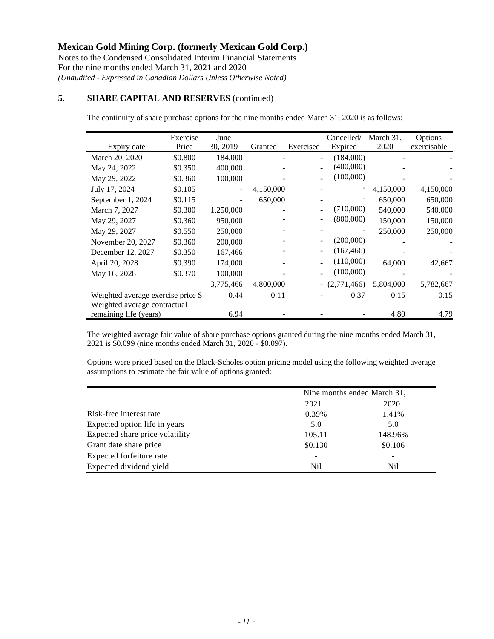Notes to the Condensed Consolidated Interim Financial Statements For the nine months ended March 31, 2021 and 2020 *(Unaudited - Expressed in Canadian Dollars Unless Otherwise Noted)*

## **5. SHARE CAPITAL AND RESERVES** (continued)

The continuity of share purchase options for the nine months ended March 31, 2020 is as follows:

|                                    | Exercise | June                     |           |           | Cancelled/     | March 31, | Options     |
|------------------------------------|----------|--------------------------|-----------|-----------|----------------|-----------|-------------|
| Expiry date                        | Price    | 30, 2019                 | Granted   | Exercised | Expired        | 2020      | exercisable |
| March 20, 2020                     | \$0.800  | 184,000                  |           |           | (184,000)      |           |             |
| May 24, 2022                       | \$0.350  | 400,000                  |           |           | (400,000)      |           |             |
| May 29, 2022                       | \$0.360  | 100,000                  |           |           | (100,000)      |           |             |
| July 17, 2024                      | \$0.105  | $\overline{\phantom{0}}$ | 4,150,000 |           |                | 4,150,000 | 4,150,000   |
| September 1, 2024                  | \$0.115  |                          | 650,000   |           |                | 650,000   | 650,000     |
| March 7, 2027                      | \$0.300  | 1,250,000                |           |           | (710,000)      | 540,000   | 540,000     |
| May 29, 2027                       | \$0.360  | 950,000                  |           |           | (800,000)      | 150,000   | 150,000     |
| May 29, 2027                       | \$0.550  | 250,000                  |           |           |                | 250,000   | 250,000     |
| November 20, 2027                  | \$0.360  | 200,000                  |           |           | (200,000)      |           |             |
| December 12, 2027                  | \$0.350  | 167,466                  |           |           | (167, 466)     |           |             |
| April 20, 2028                     | \$0.390  | 174,000                  |           |           | (110,000)      | 64,000    | 42,667      |
| May 16, 2028                       | \$0.370  | 100,000                  |           |           | (100,000)      |           |             |
|                                    |          | 3,775,466                | 4,800,000 |           | $ (2,771,466)$ | 5,804,000 | 5,782,667   |
| Weighted average exercise price \$ |          | 0.44                     | 0.11      |           | 0.37           | 0.15      | 0.15        |
| Weighted average contractual       |          |                          |           |           |                |           |             |
| remaining life (years)             |          | 6.94                     |           |           |                | 4.80      | 4.79        |

The weighted average fair value of share purchase options granted during the nine months ended March 31, 2021 is \$0.099 (nine months ended March 31, 2020 - \$0.097).

Options were priced based on the Black-Scholes option pricing model using the following weighted average assumptions to estimate the fair value of options granted:

|                                 | Nine months ended March 31, |                |  |
|---------------------------------|-----------------------------|----------------|--|
|                                 | 2021                        | 2020           |  |
| Risk-free interest rate         | 0.39%                       | 1.41%          |  |
| Expected option life in years   | 5.0                         | 5.0            |  |
| Expected share price volatility | 105.11                      | 148.96%        |  |
| Grant date share price          | \$0.130                     | \$0.106        |  |
| Expected forfeiture rate        |                             | -              |  |
| Expected dividend yield         | Nil.                        | N <sub>i</sub> |  |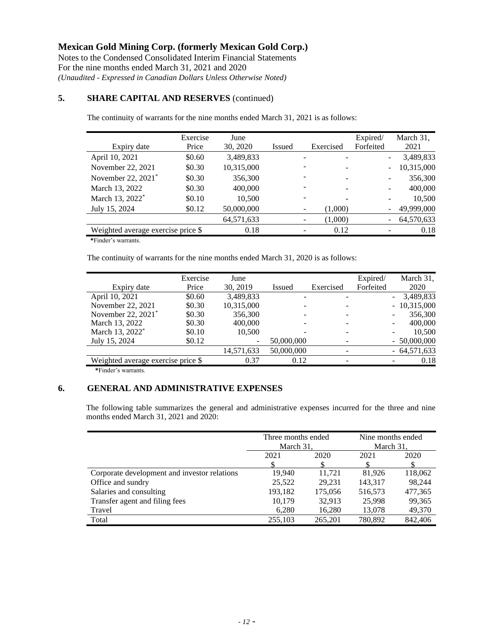Notes to the Condensed Consolidated Interim Financial Statements For the nine months ended March 31, 2021 and 2020 *(Unaudited - Expressed in Canadian Dollars Unless Otherwise Noted)*

### **5. SHARE CAPITAL AND RESERVES** (continued)

The continuity of warrants for the nine months ended March 31, 2021 is as follows:

| Expiry date                        | Exercise<br>Price | June<br>30, 2020 | Issued |   | Exercised | Expired/<br>Forfeited    | March 31,<br>2021 |
|------------------------------------|-------------------|------------------|--------|---|-----------|--------------------------|-------------------|
| April 10, 2021                     | \$0.60            | 3,489,833        |        |   |           | $\overline{\phantom{a}}$ | 3,489,833         |
| November 22, 2021                  | \$0.30            | 10,315,000       |        |   |           | $\overline{\phantom{a}}$ | 10,315,000        |
| November 22, 2021*                 | \$0.30            | 356,300          |        |   |           |                          | 356,300           |
| March 13, 2022                     | \$0.30            | 400,000          |        |   |           |                          | 400,000           |
| March 13, 2022 <sup>*</sup>        | \$0.10            | 10,500           |        |   |           |                          | 10,500            |
| July 15, 2024                      | \$0.12            | 50,000,000       |        | - | (1,000)   | $\overline{\phantom{a}}$ | 49,999,000        |
|                                    |                   | 64,571,633       |        |   | (1,000)   | $\overline{\phantom{m}}$ | 64,570,633        |
| Weighted average exercise price \$ |                   | 0.18             |        |   | 0.12      |                          | 0.18              |

 **\***Finder's warrants.

The continuity of warrants for the nine months ended March 31, 2020 is as follows:

| Expiry date                        | Exercise<br>Price | June<br>30, 2019         | Issued     | Exercised | Expired/<br>Forfeited | March 31,<br>2020                     |
|------------------------------------|-------------------|--------------------------|------------|-----------|-----------------------|---------------------------------------|
| April 10, 2021                     | \$0.60            | 3,489,833                |            |           |                       | 3,489,833<br>$\overline{\phantom{0}}$ |
| November 22, 2021                  | \$0.30            | 10,315,000               |            |           |                       | $-10,315,000$                         |
| November 22, 2021 <sup>*</sup>     | \$0.30            | 356,300                  |            |           |                       | 356,300<br>-                          |
| March 13, 2022                     | \$0.30            | 400,000                  |            |           |                       | 400,000<br>-                          |
| March 13, 2022 <sup>*</sup>        | \$0.10            | 10,500                   |            |           |                       | 10,500<br>$\qquad \qquad -$           |
| July 15, 2024                      | \$0.12            | $\overline{\phantom{a}}$ | 50,000,000 |           |                       | $-50,000,000$                         |
|                                    |                   | 14,571,633               | 50,000,000 |           |                       | $-64,571,633$                         |
| Weighted average exercise price \$ |                   | 0.37                     | 0.12       |           |                       | 0.18<br>-                             |
|                                    |                   |                          |            |           |                       |                                       |

 **\***Finder's warrants.

### **6. GENERAL AND ADMINISTRATIVE EXPENSES**

The following table summarizes the general and administrative expenses incurred for the three and nine months ended March 31, 2021 and 2020:

|                                              | Three months ended<br>March 31. |         | Nine months ended<br>March 31. |         |
|----------------------------------------------|---------------------------------|---------|--------------------------------|---------|
|                                              | 2021                            | 2020    | 2021                           | 2020    |
|                                              |                                 |         |                                |         |
| Corporate development and investor relations | 19,940                          | 11.721  | 81,926                         | 118,062 |
| Office and sundry                            | 25,522                          | 29,231  | 143,317                        | 98,244  |
| Salaries and consulting                      | 193,182                         | 175,056 | 516,573                        | 477,365 |
| Transfer agent and filing fees               | 10,179                          | 32,913  | 25,998                         | 99,365  |
| Travel                                       | 6,280                           | 16,280  | 13,078                         | 49,370  |
| Total                                        | 255,103                         | 265,201 | 780.892                        | 842,406 |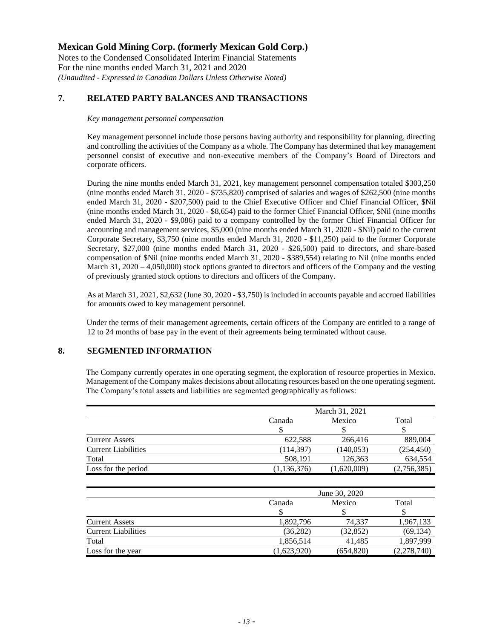Notes to the Condensed Consolidated Interim Financial Statements For the nine months ended March 31, 2021 and 2020 *(Unaudited - Expressed in Canadian Dollars Unless Otherwise Noted)*

### **7. RELATED PARTY BALANCES AND TRANSACTIONS**

*Key management personnel compensation*

Key management personnel include those persons having authority and responsibility for planning, directing and controlling the activities of the Company as a whole. The Company has determined that key management personnel consist of executive and non-executive members of the Company's Board of Directors and corporate officers.

During the nine months ended March 31, 2021, key management personnel compensation totaled \$303,250 (nine months ended March 31, 2020 - \$735,820) comprised of salaries and wages of \$262,500 (nine months ended March 31, 2020 - \$207,500) paid to the Chief Executive Officer and Chief Financial Officer, \$Nil (nine months ended March 31, 2020 - \$8,654) paid to the former Chief Financial Officer, \$Nil (nine months ended March 31, 2020 - \$9,086) paid to a company controlled by the former Chief Financial Officer for accounting and management services, \$5,000 (nine months ended March 31, 2020 - \$Nil) paid to the current Corporate Secretary, \$3,750 (nine months ended March 31, 2020 - \$11,250) paid to the former Corporate Secretary, \$27,000 (nine months ended March 31, 2020 - \$26,500) paid to directors, and share-based compensation of \$Nil (nine months ended March 31, 2020 - \$389,554) relating to Nil (nine months ended March 31, 2020 – 4,050,000) stock options granted to directors and officers of the Company and the vesting of previously granted stock options to directors and officers of the Company.

As at March 31, 2021, \$2,632 (June 30, 2020 - \$3,750) is included in accounts payable and accrued liabilities for amounts owed to key management personnel.

Under the terms of their management agreements, certain officers of the Company are entitled to a range of 12 to 24 months of base pay in the event of their agreements being terminated without cause.

## **8. SEGMENTED INFORMATION**

The Company currently operates in one operating segment, the exploration of resource properties in Mexico. Management of the Company makes decisions about allocating resources based on the one operating segment. The Company's total assets and liabilities are segmented geographically as follows:

|                            |               | March 31, 2021 |             |  |  |
|----------------------------|---------------|----------------|-------------|--|--|
|                            | Canada        | Mexico         | Total       |  |  |
|                            |               |                |             |  |  |
| <b>Current Assets</b>      | 622.588       | 266,416        | 889,004     |  |  |
| <b>Current Liabilities</b> | (114,397)     | (140.053)      | (254, 450)  |  |  |
| Total                      | 508,191       | 126,363        | 634,554     |  |  |
| Loss for the period        | (1, 136, 376) | (1,620,009)    | (2,756,385) |  |  |

|                            |             | June 30, 2020 |             |  |  |  |
|----------------------------|-------------|---------------|-------------|--|--|--|
|                            | Canada      | Mexico        |             |  |  |  |
|                            |             |               |             |  |  |  |
| <b>Current Assets</b>      | 1,892,796   | 74,337        | 1,967,133   |  |  |  |
| <b>Current Liabilities</b> | (36, 282)   | (32, 852)     | (69, 134)   |  |  |  |
| Total                      | 1,856,514   | 41.485        | 1,897,999   |  |  |  |
| Loss for the year          | (1,623,920) | (654, 820)    | (2,278,740) |  |  |  |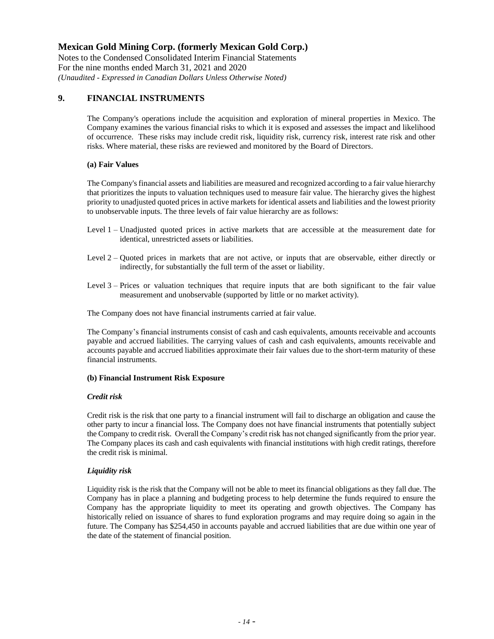Notes to the Condensed Consolidated Interim Financial Statements For the nine months ended March 31, 2021 and 2020 *(Unaudited - Expressed in Canadian Dollars Unless Otherwise Noted)*

## **9. FINANCIAL INSTRUMENTS**

The Company's operations include the acquisition and exploration of mineral properties in Mexico. The Company examines the various financial risks to which it is exposed and assesses the impact and likelihood of occurrence. These risks may include credit risk, liquidity risk, currency risk, interest rate risk and other risks. Where material, these risks are reviewed and monitored by the Board of Directors.

### **(a) Fair Values**

The Company's financial assets and liabilities are measured and recognized according to a fair value hierarchy that prioritizes the inputs to valuation techniques used to measure fair value. The hierarchy gives the highest priority to unadjusted quoted prices in active markets for identical assets and liabilities and the lowest priority to unobservable inputs. The three levels of fair value hierarchy are as follows:

- Level 1 Unadjusted quoted prices in active markets that are accessible at the measurement date for identical, unrestricted assets or liabilities.
- Level 2 Quoted prices in markets that are not active, or inputs that are observable, either directly or indirectly, for substantially the full term of the asset or liability.
- Level 3 Prices or valuation techniques that require inputs that are both significant to the fair value measurement and unobservable (supported by little or no market activity).

The Company does not have financial instruments carried at fair value.

The Company's financial instruments consist of cash and cash equivalents, amounts receivable and accounts payable and accrued liabilities. The carrying values of cash and cash equivalents, amounts receivable and accounts payable and accrued liabilities approximate their fair values due to the short-term maturity of these financial instruments.

### **(b) Financial Instrument Risk Exposure**

### *Credit risk*

Credit risk is the risk that one party to a financial instrument will fail to discharge an obligation and cause the other party to incur a financial loss. The Company does not have financial instruments that potentially subject the Company to credit risk. Overall the Company's credit risk has not changed significantly from the prior year. The Company places its cash and cash equivalents with financial institutions with high credit ratings, therefore the credit risk is minimal.

### *Liquidity risk*

Liquidity risk is the risk that the Company will not be able to meet its financial obligations as they fall due. The Company has in place a planning and budgeting process to help determine the funds required to ensure the Company has the appropriate liquidity to meet its operating and growth objectives. The Company has historically relied on issuance of shares to fund exploration programs and may require doing so again in the future. The Company has \$254,450 in accounts payable and accrued liabilities that are due within one year of the date of the statement of financial position.